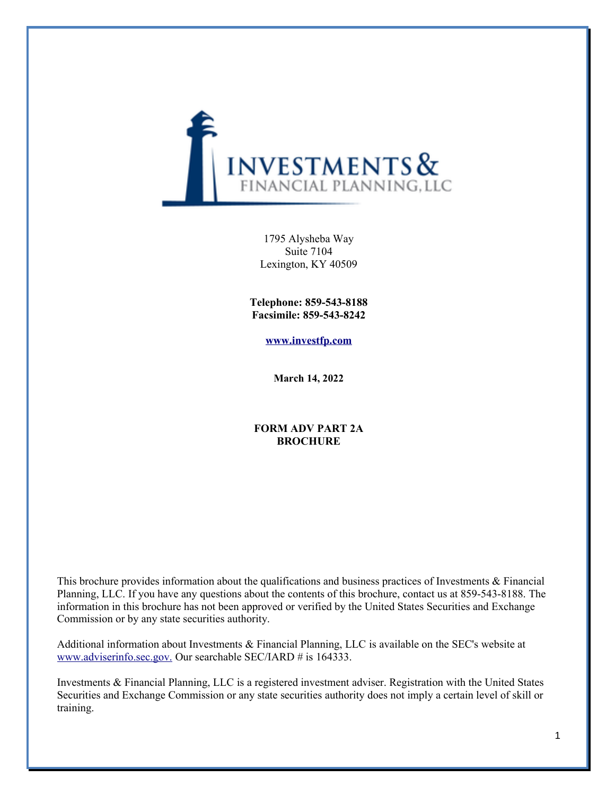

1795 Alysheba Way Suite 7104 Lexington, KY 40509

**Telephone: 859-543-8188 Facsimile: 859-543-8242**

**[www.investfp.com](http://www.investfp.com/)**

**March 14, 2022**

### **FORM ADV PART 2A BROCHURE**

This brochure provides information about the qualifications and business practices of Investments & Financial Planning, LLC. If you have any questions about the contents of this brochure, contact us at 859-543-8188. The information in this brochure has not been approved or verified by the United States Securities and Exchange Commission or by any state securities authority.

Additional information about Investments & Financial Planning, LLC is available on the SEC's website at [www.adviserinfo.sec.gov.](http://www.adviserinfo.sec.gov./) Our searchable SEC/IARD # is 164333.

Investments & Financial Planning, LLC is a registered investment adviser. Registration with the United States Securities and Exchange Commission or any state securities authority does not imply a certain level of skill or training.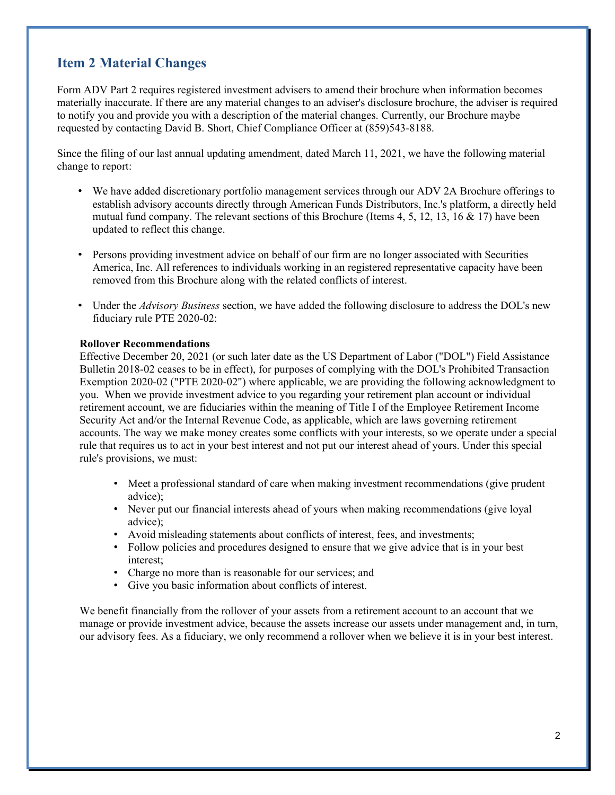### **Item 2 Material Changes**

Form ADV Part 2 requires registered investment advisers to amend their brochure when information becomes materially inaccurate. If there are any material changes to an adviser's disclosure brochure, the adviser is required to notify you and provide you with a description of the material changes. Currently, our Brochure maybe requested by contacting David B. Short, Chief Compliance Officer at (859)543-8188.

Since the filing of our last annual updating amendment, dated March 11, 2021, we have the following material change to report:

- We have added discretionary portfolio management services through our ADV 2A Brochure offerings to establish advisory accounts directly through American Funds Distributors, Inc.'s platform, a directly held mutual fund company. The relevant sections of this Brochure (Items 4, 5, 12, 13, 16 & 17) have been updated to reflect this change.
- Persons providing investment advice on behalf of our firm are no longer associated with Securities America, Inc. All references to individuals working in an registered representative capacity have been removed from this Brochure along with the related conflicts of interest.
- Under the *Advisory Business* section, we have added the following disclosure to address the DOL's new fiduciary rule PTE 2020-02:

#### **Rollover Recommendations**

Effective December 20, 2021 (or such later date as the US Department of Labor ("DOL") Field Assistance Bulletin 2018-02 ceases to be in effect), for purposes of complying with the DOL's Prohibited Transaction Exemption 2020-02 ("PTE 2020-02") where applicable, we are providing the following acknowledgment to you. When we provide investment advice to you regarding your retirement plan account or individual retirement account, we are fiduciaries within the meaning of Title I of the Employee Retirement Income Security Act and/or the Internal Revenue Code, as applicable, which are laws governing retirement accounts. The way we make money creates some conflicts with your interests, so we operate under a special rule that requires us to act in your best interest and not put our interest ahead of yours. Under this special rule's provisions, we must:

- Meet a professional standard of care when making investment recommendations (give prudent advice);
- Never put our financial interests ahead of yours when making recommendations (give loyal advice);
- Avoid misleading statements about conflicts of interest, fees, and investments;
- Follow policies and procedures designed to ensure that we give advice that is in your best interest;
- Charge no more than is reasonable for our services; and
- Give you basic information about conflicts of interest.

We benefit financially from the rollover of your assets from a retirement account to an account that we manage or provide investment advice, because the assets increase our assets under management and, in turn, our advisory fees. As a fiduciary, we only recommend a rollover when we believe it is in your best interest.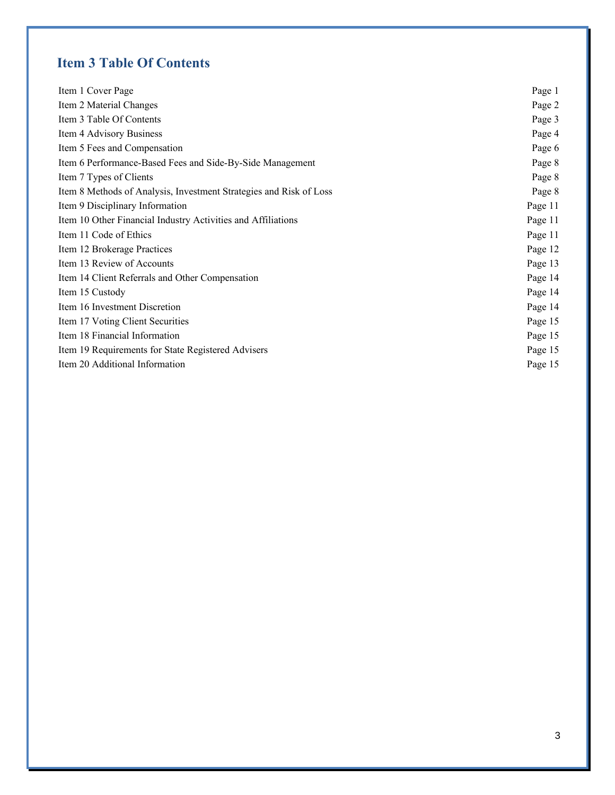# **Item 3 Table Of Contents**

| Item 1 Cover Page                                                  | Page 1  |
|--------------------------------------------------------------------|---------|
| Item 2 Material Changes                                            | Page 2  |
| Item 3 Table Of Contents                                           | Page 3  |
| Item 4 Advisory Business                                           | Page 4  |
| Item 5 Fees and Compensation                                       | Page 6  |
| Item 6 Performance-Based Fees and Side-By-Side Management          | Page 8  |
| Item 7 Types of Clients                                            | Page 8  |
| Item 8 Methods of Analysis, Investment Strategies and Risk of Loss | Page 8  |
| Item 9 Disciplinary Information                                    | Page 11 |
| Item 10 Other Financial Industry Activities and Affiliations       | Page 11 |
| Item 11 Code of Ethics                                             | Page 11 |
| Item 12 Brokerage Practices                                        | Page 12 |
| Item 13 Review of Accounts                                         | Page 13 |
| Item 14 Client Referrals and Other Compensation                    | Page 14 |
| Item 15 Custody                                                    | Page 14 |
| Item 16 Investment Discretion                                      | Page 14 |
| Item 17 Voting Client Securities                                   | Page 15 |
| Item 18 Financial Information                                      | Page 15 |
| Item 19 Requirements for State Registered Advisers                 | Page 15 |
| Item 20 Additional Information                                     | Page 15 |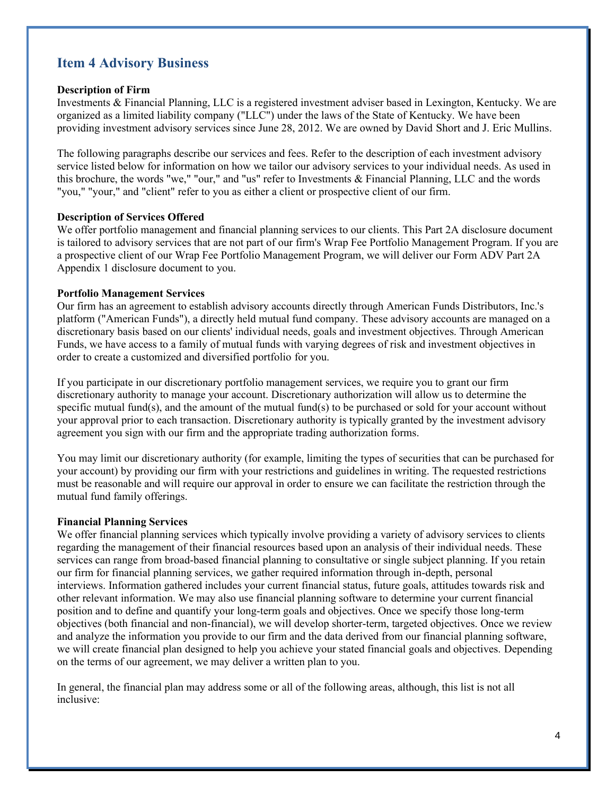### **Item 4 Advisory Business**

### **Description of Firm**

Investments & Financial Planning, LLC is a registered investment adviser based in Lexington, Kentucky. We are organized as a limited liability company ("LLC") under the laws of the State of Kentucky. We have been providing investment advisory services since June 28, 2012. We are owned by David Short and J. Eric Mullins.

The following paragraphs describe our services and fees. Refer to the description of each investment advisory service listed below for information on how we tailor our advisory services to your individual needs. As used in this brochure, the words "we," "our," and "us" refer to Investments & Financial Planning, LLC and the words "you," "your," and "client" refer to you as either a client or prospective client of our firm.

### **Description of Services Offered**

We offer portfolio management and financial planning services to our clients. This Part 2A disclosure document is tailored to advisory services that are not part of our firm's Wrap Fee Portfolio Management Program. If you are a prospective client of our Wrap Fee Portfolio Management Program, we will deliver our Form ADV Part 2A Appendix 1 disclosure document to you.

### **Portfolio Management Services**

Our firm has an agreement to establish advisory accounts directly through American Funds Distributors, Inc.'s platform ("American Funds"), a directly held mutual fund company. These advisory accounts are managed on a discretionary basis based on our clients' individual needs, goals and investment objectives. Through American Funds, we have access to a family of mutual funds with varying degrees of risk and investment objectives in order to create a customized and diversified portfolio for you.

If you participate in our discretionary portfolio management services, we require you to grant our firm discretionary authority to manage your account. Discretionary authorization will allow us to determine the specific mutual fund(s), and the amount of the mutual fund(s) to be purchased or sold for your account without your approval prior to each transaction. Discretionary authority is typically granted by the investment advisory agreement you sign with our firm and the appropriate trading authorization forms.

You may limit our discretionary authority (for example, limiting the types of securities that can be purchased for your account) by providing our firm with your restrictions and guidelines in writing. The requested restrictions must be reasonable and will require our approval in order to ensure we can facilitate the restriction through the mutual fund family offerings.

### **Financial Planning Services**

We offer financial planning services which typically involve providing a variety of advisory services to clients regarding the management of their financial resources based upon an analysis of their individual needs. These services can range from broad-based financial planning to consultative or single subject planning. If you retain our firm for financial planning services, we gather required information through in-depth, personal interviews. Information gathered includes your current financial status, future goals, attitudes towards risk and other relevant information. We may also use financial planning software to determine your current financial position and to define and quantify your long-term goals and objectives. Once we specify those long-term objectives (both financial and non-financial), we will develop shorter-term, targeted objectives. Once we review and analyze the information you provide to our firm and the data derived from our financial planning software, we will create financial plan designed to help you achieve your stated financial goals and objectives. Depending on the terms of our agreement, we may deliver a written plan to you.

In general, the financial plan may address some or all of the following areas, although, this list is not all inclusive: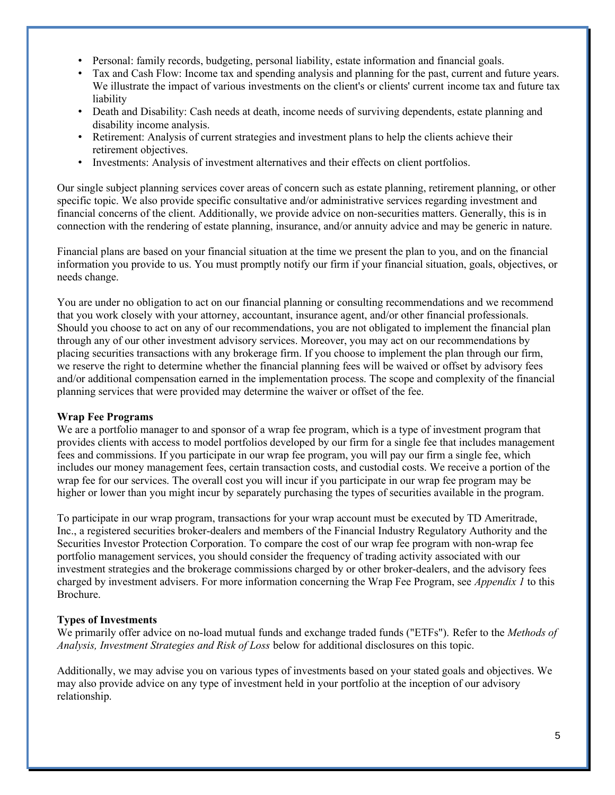- Personal: family records, budgeting, personal liability, estate information and financial goals.
- Tax and Cash Flow: Income tax and spending analysis and planning for the past, current and future years. We illustrate the impact of various investments on the client's or clients' current income tax and future tax liability
- Death and Disability: Cash needs at death, income needs of surviving dependents, estate planning and disability income analysis.
- Retirement: Analysis of current strategies and investment plans to help the clients achieve their retirement objectives.
- Investments: Analysis of investment alternatives and their effects on client portfolios.

Our single subject planning services cover areas of concern such as estate planning, retirement planning, or other specific topic. We also provide specific consultative and/or administrative services regarding investment and financial concerns of the client. Additionally, we provide advice on non-securities matters. Generally, this is in connection with the rendering of estate planning, insurance, and/or annuity advice and may be generic in nature.

Financial plans are based on your financial situation at the time we present the plan to you, and on the financial information you provide to us. You must promptly notify our firm if your financial situation, goals, objectives, or needs change.

You are under no obligation to act on our financial planning or consulting recommendations and we recommend that you work closely with your attorney, accountant, insurance agent, and/or other financial professionals. Should you choose to act on any of our recommendations, you are not obligated to implement the financial plan through any of our other investment advisory services. Moreover, you may act on our recommendations by placing securities transactions with any brokerage firm. If you choose to implement the plan through our firm, we reserve the right to determine whether the financial planning fees will be waived or offset by advisory fees and/or additional compensation earned in the implementation process. The scope and complexity of the financial planning services that were provided may determine the waiver or offset of the fee.

### **Wrap Fee Programs**

We are a portfolio manager to and sponsor of a wrap fee program, which is a type of investment program that provides clients with access to model portfolios developed by our firm for a single fee that includes management fees and commissions. If you participate in our wrap fee program, you will pay our firm a single fee, which includes our money management fees, certain transaction costs, and custodial costs. We receive a portion of the wrap fee for our services. The overall cost you will incur if you participate in our wrap fee program may be higher or lower than you might incur by separately purchasing the types of securities available in the program.

To participate in our wrap program, transactions for your wrap account must be executed by TD Ameritrade, Inc., a registered securities broker-dealers and members of the Financial Industry Regulatory Authority and the Securities Investor Protection Corporation. To compare the cost of our wrap fee program with non-wrap fee portfolio management services, you should consider the frequency of trading activity associated with our investment strategies and the brokerage commissions charged by or other broker-dealers, and the advisory fees charged by investment advisers. For more information concerning the Wrap Fee Program, see *Appendix 1* to this Brochure.

### **Types of Investments**

We primarily offer advice on no-load mutual funds and exchange traded funds ("ETFs"). Refer to the *Methods of Analysis, Investment Strategies and Risk of Loss* below for additional disclosures on this topic.

Additionally, we may advise you on various types of investments based on your stated goals and objectives. We may also provide advice on any type of investment held in your portfolio at the inception of our advisory relationship.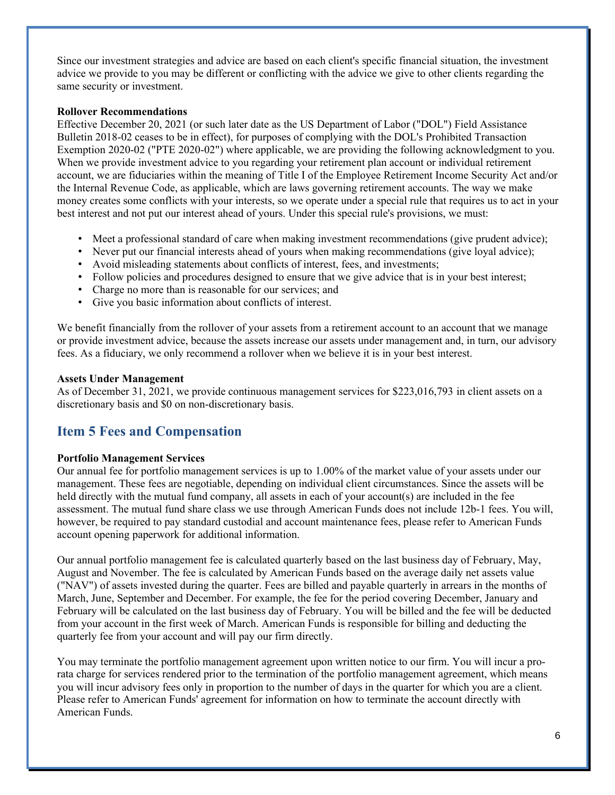Since our investment strategies and advice are based on each client's specific financial situation, the investment advice we provide to you may be different or conflicting with the advice we give to other clients regarding the same security or investment.

#### **Rollover Recommendations**

Effective December 20, 2021 (or such later date as the US Department of Labor ("DOL") Field Assistance Bulletin 2018-02 ceases to be in effect), for purposes of complying with the DOL's Prohibited Transaction Exemption 2020-02 ("PTE 2020-02") where applicable, we are providing the following acknowledgment to you. When we provide investment advice to you regarding your retirement plan account or individual retirement account, we are fiduciaries within the meaning of Title I of the Employee Retirement Income Security Act and/or the Internal Revenue Code, as applicable, which are laws governing retirement accounts. The way we make money creates some conflicts with your interests, so we operate under a special rule that requires us to act in your best interest and not put our interest ahead of yours. Under this special rule's provisions, we must:

- Meet a professional standard of care when making investment recommendations (give prudent advice);
- Never put our financial interests ahead of yours when making recommendations (give loyal advice);
- Avoid misleading statements about conflicts of interest, fees, and investments;
- Follow policies and procedures designed to ensure that we give advice that is in your best interest;
- Charge no more than is reasonable for our services; and
- Give you basic information about conflicts of interest.

We benefit financially from the rollover of your assets from a retirement account to an account that we manage or provide investment advice, because the assets increase our assets under management and, in turn, our advisory fees. As a fiduciary, we only recommend a rollover when we believe it is in your best interest.

### **Assets Under Management**

As of December 31, 2021, we provide continuous management services for \$223,016,793 in client assets on a discretionary basis and \$0 on non-discretionary basis.

### **Item 5 Fees and Compensation**

### **Portfolio Management Services**

Our annual fee for portfolio management services is up to 1.00% of the market value of your assets under our management. These fees are negotiable, depending on individual client circumstances. Since the assets will be held directly with the mutual fund company, all assets in each of your account(s) are included in the fee assessment. The mutual fund share class we use through American Funds does not include 12b-1 fees. You will, however, be required to pay standard custodial and account maintenance fees, please refer to American Funds account opening paperwork for additional information.

Our annual portfolio management fee is calculated quarterly based on the last business day of February, May, August and November. The fee is calculated by American Funds based on the average daily net assets value ("NAV") of assets invested during the quarter. Fees are billed and payable quarterly in arrears in the months of March, June, September and December. For example, the fee for the period covering December, January and February will be calculated on the last business day of February. You will be billed and the fee will be deducted from your account in the first week of March. American Funds is responsible for billing and deducting the quarterly fee from your account and will pay our firm directly.

You may terminate the portfolio management agreement upon written notice to our firm. You will incur a prorata charge for services rendered prior to the termination of the portfolio management agreement, which means you will incur advisory fees only in proportion to the number of days in the quarter for which you are a client. Please refer to American Funds' agreement for information on how to terminate the account directly with American Funds.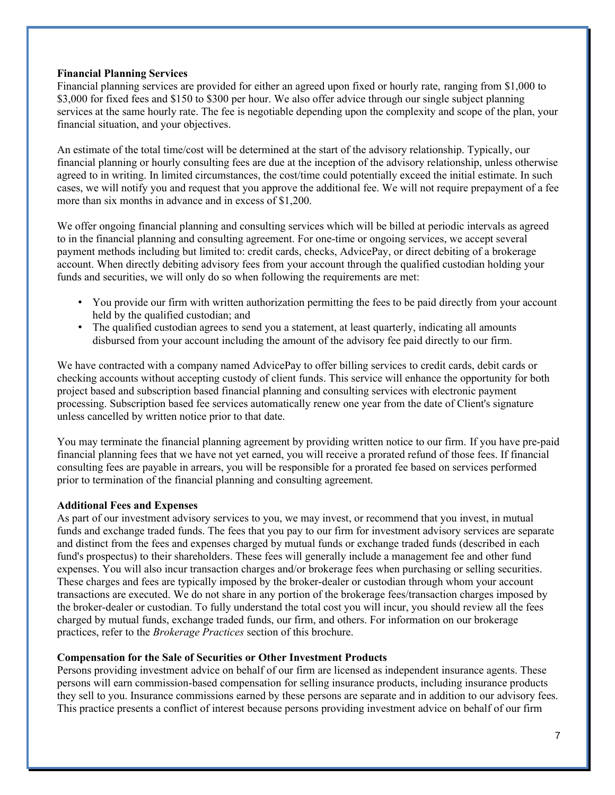#### **Financial Planning Services**

Financial planning services are provided for either an agreed upon fixed or hourly rate, ranging from \$1,000 to \$3,000 for fixed fees and \$150 to \$300 per hour. We also offer advice through our single subject planning services at the same hourly rate. The fee is negotiable depending upon the complexity and scope of the plan, your financial situation, and your objectives.

An estimate of the total time/cost will be determined at the start of the advisory relationship. Typically, our financial planning or hourly consulting fees are due at the inception of the advisory relationship, unless otherwise agreed to in writing. In limited circumstances, the cost/time could potentially exceed the initial estimate. In such cases, we will notify you and request that you approve the additional fee. We will not require prepayment of a fee more than six months in advance and in excess of \$1,200.

We offer ongoing financial planning and consulting services which will be billed at periodic intervals as agreed to in the financial planning and consulting agreement. For one-time or ongoing services, we accept several payment methods including but limited to: credit cards, checks, AdvicePay, or direct debiting of a brokerage account. When directly debiting advisory fees from your account through the qualified custodian holding your funds and securities, we will only do so when following the requirements are met:

- You provide our firm with written authorization permitting the fees to be paid directly from your account held by the qualified custodian; and
- The qualified custodian agrees to send you a statement, at least quarterly, indicating all amounts disbursed from your account including the amount of the advisory fee paid directly to our firm.

We have contracted with a company named AdvicePay to offer billing services to credit cards, debit cards or checking accounts without accepting custody of client funds. This service will enhance the opportunity for both project based and subscription based financial planning and consulting services with electronic payment processing. Subscription based fee services automatically renew one year from the date of Client's signature unless cancelled by written notice prior to that date.

You may terminate the financial planning agreement by providing written notice to our firm. If you have pre-paid financial planning fees that we have not yet earned, you will receive a prorated refund of those fees. If financial consulting fees are payable in arrears, you will be responsible for a prorated fee based on services performed prior to termination of the financial planning and consulting agreement.

### **Additional Fees and Expenses**

As part of our investment advisory services to you, we may invest, or recommend that you invest, in mutual funds and exchange traded funds. The fees that you pay to our firm for investment advisory services are separate and distinct from the fees and expenses charged by mutual funds or exchange traded funds (described in each fund's prospectus) to their shareholders. These fees will generally include a management fee and other fund expenses. You will also incur transaction charges and/or brokerage fees when purchasing or selling securities. These charges and fees are typically imposed by the broker-dealer or custodian through whom your account transactions are executed. We do not share in any portion of the brokerage fees/transaction charges imposed by the broker-dealer or custodian. To fully understand the total cost you will incur, you should review all the fees charged by mutual funds, exchange traded funds, our firm, and others. For information on our brokerage practices, refer to the *Brokerage Practices* section of this brochure.

#### **Compensation for the Sale of Securities or Other Investment Products**

Persons providing investment advice on behalf of our firm are licensed as independent insurance agents. These persons will earn commission-based compensation for selling insurance products, including insurance products they sell to you. Insurance commissions earned by these persons are separate and in addition to our advisory fees. This practice presents a conflict of interest because persons providing investment advice on behalf of our firm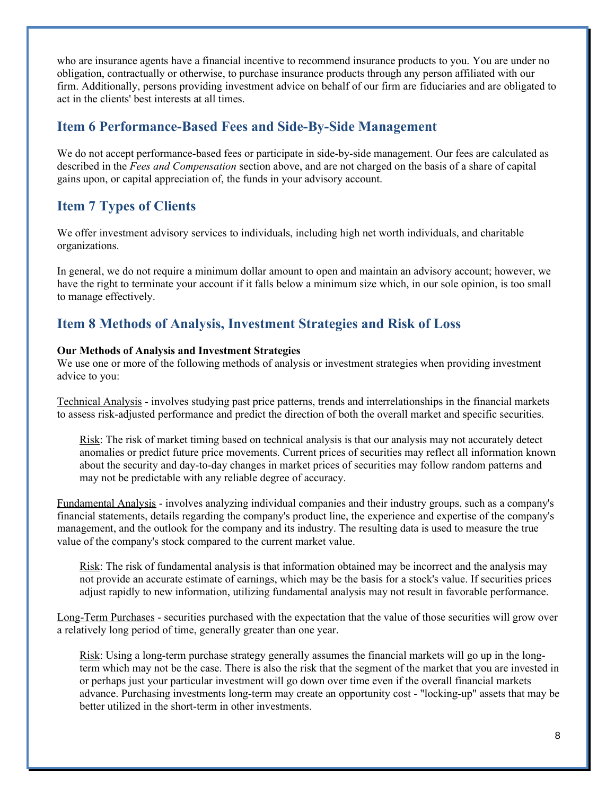who are insurance agents have a financial incentive to recommend insurance products to you. You are under no obligation, contractually or otherwise, to purchase insurance products through any person affiliated with our firm. Additionally, persons providing investment advice on behalf of our firm are fiduciaries and are obligated to act in the clients' best interests at all times.

### **Item 6 Performance-Based Fees and Side-By-Side Management**

We do not accept performance-based fees or participate in side-by-side management. Our fees are calculated as described in the *Fees and Compensation* section above, and are not charged on the basis of a share of capital gains upon, or capital appreciation of, the funds in your advisory account.

## **Item 7 Types of Clients**

We offer investment advisory services to individuals, including high net worth individuals, and charitable organizations.

In general, we do not require a minimum dollar amount to open and maintain an advisory account; however, we have the right to terminate your account if it falls below a minimum size which, in our sole opinion, is too small to manage effectively.

### **Item 8 Methods of Analysis, Investment Strategies and Risk of Loss**

### **Our Methods of Analysis and Investment Strategies**

We use one or more of the following methods of analysis or investment strategies when providing investment advice to you:

Technical Analysis - involves studying past price patterns, trends and interrelationships in the financial markets to assess risk-adjusted performance and predict the direction of both the overall market and specific securities.

Risk: The risk of market timing based on technical analysis is that our analysis may not accurately detect anomalies or predict future price movements. Current prices of securities may reflect all information known about the security and day-to-day changes in market prices of securities may follow random patterns and may not be predictable with any reliable degree of accuracy.

Fundamental Analysis - involves analyzing individual companies and their industry groups, such as a company's financial statements, details regarding the company's product line, the experience and expertise of the company's management, and the outlook for the company and its industry. The resulting data is used to measure the true value of the company's stock compared to the current market value.

Risk: The risk of fundamental analysis is that information obtained may be incorrect and the analysis may not provide an accurate estimate of earnings, which may be the basis for a stock's value. If securities prices adjust rapidly to new information, utilizing fundamental analysis may not result in favorable performance.

Long-Term Purchases - securities purchased with the expectation that the value of those securities will grow over a relatively long period of time, generally greater than one year.

Risk: Using a long-term purchase strategy generally assumes the financial markets will go up in the longterm which may not be the case. There is also the risk that the segment of the market that you are invested in or perhaps just your particular investment will go down over time even if the overall financial markets advance. Purchasing investments long-term may create an opportunity cost - "locking-up" assets that may be better utilized in the short-term in other investments.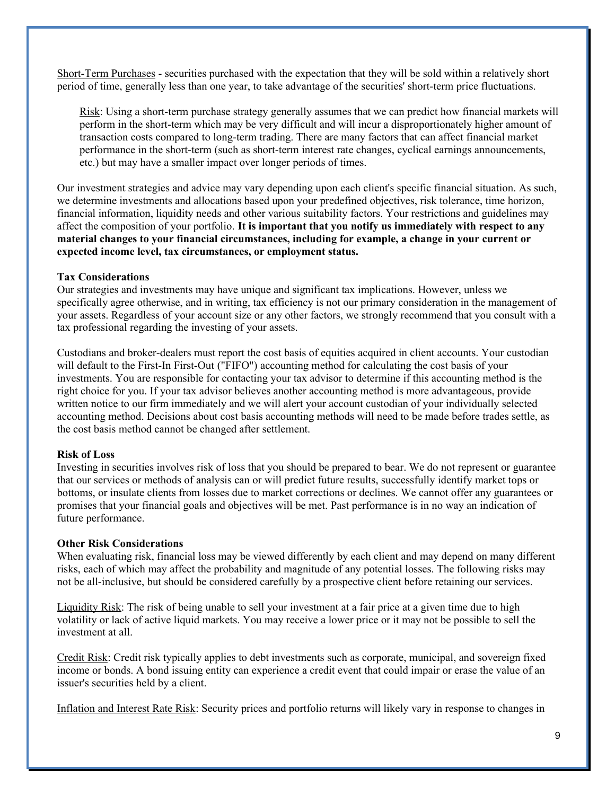Short-Term Purchases - securities purchased with the expectation that they will be sold within a relatively short period of time, generally less than one year, to take advantage of the securities' short-term price fluctuations.

Risk: Using a short-term purchase strategy generally assumes that we can predict how financial markets will perform in the short-term which may be very difficult and will incur a disproportionately higher amount of transaction costs compared to long-term trading. There are many factors that can affect financial market performance in the short-term (such as short-term interest rate changes, cyclical earnings announcements, etc.) but may have a smaller impact over longer periods of times.

Our investment strategies and advice may vary depending upon each client's specific financial situation. As such, we determine investments and allocations based upon your predefined objectives, risk tolerance, time horizon, financial information, liquidity needs and other various suitability factors. Your restrictions and guidelines may affect the composition of your portfolio. **It is important that you notify us immediately with respect to any material changes to your financial circumstances, including for example, a change in your current or expected income level, tax circumstances, or employment status.**

#### **Tax Considerations**

Our strategies and investments may have unique and significant tax implications. However, unless we specifically agree otherwise, and in writing, tax efficiency is not our primary consideration in the management of your assets. Regardless of your account size or any other factors, we strongly recommend that you consult with a tax professional regarding the investing of your assets.

Custodians and broker-dealers must report the cost basis of equities acquired in client accounts. Your custodian will default to the First-In First-Out ("FIFO") accounting method for calculating the cost basis of your investments. You are responsible for contacting your tax advisor to determine if this accounting method is the right choice for you. If your tax advisor believes another accounting method is more advantageous, provide written notice to our firm immediately and we will alert your account custodian of your individually selected accounting method. Decisions about cost basis accounting methods will need to be made before trades settle, as the cost basis method cannot be changed after settlement.

### **Risk of Loss**

Investing in securities involves risk of loss that you should be prepared to bear. We do not represent or guarantee that our services or methods of analysis can or will predict future results, successfully identify market tops or bottoms, or insulate clients from losses due to market corrections or declines. We cannot offer any guarantees or promises that your financial goals and objectives will be met. Past performance is in no way an indication of future performance.

#### **Other Risk Considerations**

When evaluating risk, financial loss may be viewed differently by each client and may depend on many different risks, each of which may affect the probability and magnitude of any potential losses. The following risks may not be all-inclusive, but should be considered carefully by a prospective client before retaining our services.

Liquidity Risk: The risk of being unable to sell your investment at a fair price at a given time due to high volatility or lack of active liquid markets. You may receive a lower price or it may not be possible to sell the investment at all.

Credit Risk: Credit risk typically applies to debt investments such as corporate, municipal, and sovereign fixed income or bonds. A bond issuing entity can experience a credit event that could impair or erase the value of an issuer's securities held by a client.

Inflation and Interest Rate Risk: Security prices and portfolio returns will likely vary in response to changes in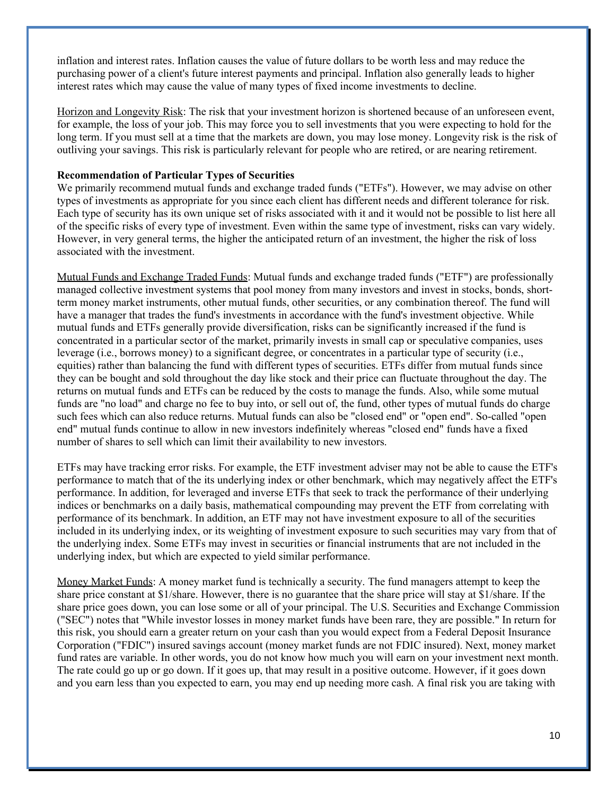inflation and interest rates. Inflation causes the value of future dollars to be worth less and may reduce the purchasing power of a client's future interest payments and principal. Inflation also generally leads to higher interest rates which may cause the value of many types of fixed income investments to decline.

Horizon and Longevity Risk: The risk that your investment horizon is shortened because of an unforeseen event, for example, the loss of your job. This may force you to sell investments that you were expecting to hold for the long term. If you must sell at a time that the markets are down, you may lose money. Longevity risk is the risk of outliving your savings. This risk is particularly relevant for people who are retired, or are nearing retirement.

#### **Recommendation of Particular Types of Securities**

We primarily recommend mutual funds and exchange traded funds ("ETFs"). However, we may advise on other types of investments as appropriate for you since each client has different needs and different tolerance for risk. Each type of security has its own unique set of risks associated with it and it would not be possible to list here all of the specific risks of every type of investment. Even within the same type of investment, risks can vary widely. However, in very general terms, the higher the anticipated return of an investment, the higher the risk of loss associated with the investment.

Mutual Funds and Exchange Traded Funds: Mutual funds and exchange traded funds ("ETF") are professionally managed collective investment systems that pool money from many investors and invest in stocks, bonds, shortterm money market instruments, other mutual funds, other securities, or any combination thereof. The fund will have a manager that trades the fund's investments in accordance with the fund's investment objective. While mutual funds and ETFs generally provide diversification, risks can be significantly increased if the fund is concentrated in a particular sector of the market, primarily invests in small cap or speculative companies, uses leverage (i.e., borrows money) to a significant degree, or concentrates in a particular type of security (i.e., equities) rather than balancing the fund with different types of securities. ETFs differ from mutual funds since they can be bought and sold throughout the day like stock and their price can fluctuate throughout the day. The returns on mutual funds and ETFs can be reduced by the costs to manage the funds. Also, while some mutual funds are "no load" and charge no fee to buy into, or sell out of, the fund, other types of mutual funds do charge such fees which can also reduce returns. Mutual funds can also be "closed end" or "open end". So-called "open end" mutual funds continue to allow in new investors indefinitely whereas "closed end" funds have a fixed number of shares to sell which can limit their availability to new investors.

ETFs may have tracking error risks. For example, the ETF investment adviser may not be able to cause the ETF's performance to match that of the its underlying index or other benchmark, which may negatively affect the ETF's performance. In addition, for leveraged and inverse ETFs that seek to track the performance of their underlying indices or benchmarks on a daily basis, mathematical compounding may prevent the ETF from correlating with performance of its benchmark. In addition, an ETF may not have investment exposure to all of the securities included in its underlying index, or its weighting of investment exposure to such securities may vary from that of the underlying index. Some ETFs may invest in securities or financial instruments that are not included in the underlying index, but which are expected to yield similar performance.

Money Market Funds: A money market fund is technically a security. The fund managers attempt to keep the share price constant at \$1/share. However, there is no guarantee that the share price will stay at \$1/share. If the share price goes down, you can lose some or all of your principal. The U.S. Securities and Exchange Commission ("SEC") notes that "While investor losses in money market funds have been rare, they are possible." In return for this risk, you should earn a greater return on your cash than you would expect from a Federal Deposit Insurance Corporation ("FDIC") insured savings account (money market funds are not FDIC insured). Next, money market fund rates are variable. In other words, you do not know how much you will earn on your investment next month. The rate could go up or go down. If it goes up, that may result in a positive outcome. However, if it goes down and you earn less than you expected to earn, you may end up needing more cash. A final risk you are taking with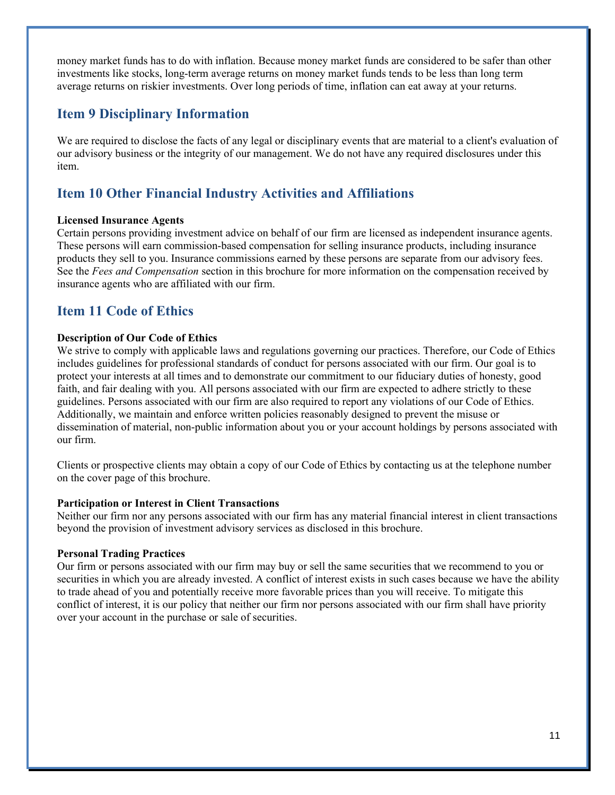money market funds has to do with inflation. Because money market funds are considered to be safer than other investments like stocks, long-term average returns on money market funds tends to be less than long term average returns on riskier investments. Over long periods of time, inflation can eat away at your returns.

### **Item 9 Disciplinary Information**

We are required to disclose the facts of any legal or disciplinary events that are material to a client's evaluation of our advisory business or the integrity of our management. We do not have any required disclosures under this item.

### **Item 10 Other Financial Industry Activities and Affiliations**

### **Licensed Insurance Agents**

Certain persons providing investment advice on behalf of our firm are licensed as independent insurance agents. These persons will earn commission-based compensation for selling insurance products, including insurance products they sell to you. Insurance commissions earned by these persons are separate from our advisory fees. See the *Fees and Compensation* section in this brochure for more information on the compensation received by insurance agents who are affiliated with our firm.

### **Item 11 Code of Ethics**

### **Description of Our Code of Ethics**

We strive to comply with applicable laws and regulations governing our practices. Therefore, our Code of Ethics includes guidelines for professional standards of conduct for persons associated with our firm. Our goal is to protect your interests at all times and to demonstrate our commitment to our fiduciary duties of honesty, good faith, and fair dealing with you. All persons associated with our firm are expected to adhere strictly to these guidelines. Persons associated with our firm are also required to report any violations of our Code of Ethics. Additionally, we maintain and enforce written policies reasonably designed to prevent the misuse or dissemination of material, non-public information about you or your account holdings by persons associated with our firm.

Clients or prospective clients may obtain a copy of our Code of Ethics by contacting us at the telephone number on the cover page of this brochure.

### **Participation or Interest in Client Transactions**

Neither our firm nor any persons associated with our firm has any material financial interest in client transactions beyond the provision of investment advisory services as disclosed in this brochure.

### **Personal Trading Practices**

Our firm or persons associated with our firm may buy or sell the same securities that we recommend to you or securities in which you are already invested. A conflict of interest exists in such cases because we have the ability to trade ahead of you and potentially receive more favorable prices than you will receive. To mitigate this conflict of interest, it is our policy that neither our firm nor persons associated with our firm shall have priority over your account in the purchase or sale of securities.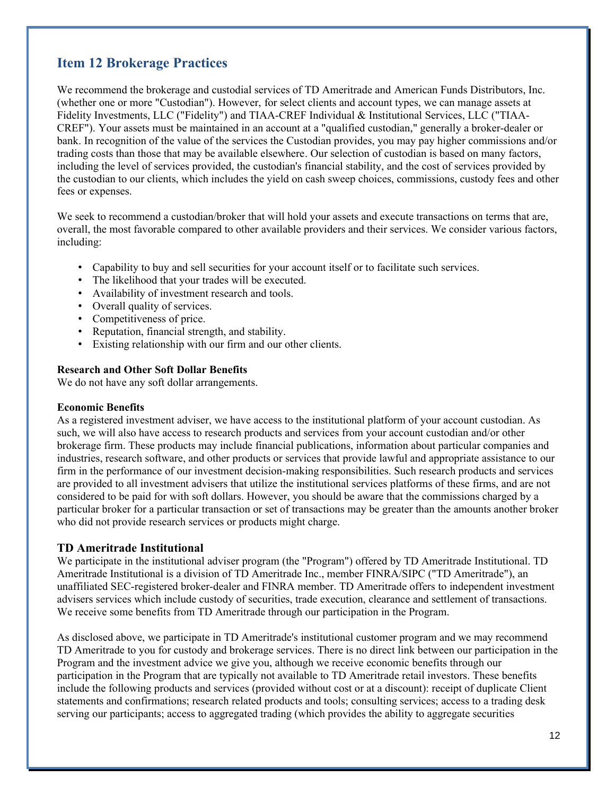# **Item 12 Brokerage Practices**

We recommend the brokerage and custodial services of TD Ameritrade and American Funds Distributors, Inc. (whether one or more "Custodian"). However, for select clients and account types, we can manage assets at Fidelity Investments, LLC ("Fidelity") and TIAA-CREF Individual & Institutional Services, LLC ("TIAA-CREF"). Your assets must be maintained in an account at a "qualified custodian," generally a broker-dealer or bank. In recognition of the value of the services the Custodian provides, you may pay higher commissions and/or trading costs than those that may be available elsewhere. Our selection of custodian is based on many factors, including the level of services provided, the custodian's financial stability, and the cost of services provided by the custodian to our clients, which includes the yield on cash sweep choices, commissions, custody fees and other fees or expenses.

We seek to recommend a custodian/broker that will hold your assets and execute transactions on terms that are, overall, the most favorable compared to other available providers and their services. We consider various factors, including:

- Capability to buy and sell securities for your account itself or to facilitate such services.
- The likelihood that your trades will be executed.
- Availability of investment research and tools.
- Overall quality of services.
- Competitiveness of price.
- Reputation, financial strength, and stability.
- Existing relationship with our firm and our other clients.

### **Research and Other Soft Dollar Benefits**

We do not have any soft dollar arrangements.

### **Economic Benefits**

As a registered investment adviser, we have access to the institutional platform of your account custodian. As such, we will also have access to research products and services from your account custodian and/or other brokerage firm. These products may include financial publications, information about particular companies and industries, research software, and other products or services that provide lawful and appropriate assistance to our firm in the performance of our investment decision-making responsibilities. Such research products and services are provided to all investment advisers that utilize the institutional services platforms of these firms, and are not considered to be paid for with soft dollars. However, you should be aware that the commissions charged by a particular broker for a particular transaction or set of transactions may be greater than the amounts another broker who did not provide research services or products might charge.

### **TD Ameritrade Institutional**

We participate in the institutional adviser program (the "Program") offered by TD Ameritrade Institutional. TD Ameritrade Institutional is a division of TD Ameritrade Inc., member FINRA/SIPC ("TD Ameritrade"), an unaffiliated SEC-registered broker-dealer and FINRA member. TD Ameritrade offers to independent investment advisers services which include custody of securities, trade execution, clearance and settlement of transactions. We receive some benefits from TD Ameritrade through our participation in the Program.

As disclosed above, we participate in TD Ameritrade's institutional customer program and we may recommend TD Ameritrade to you for custody and brokerage services. There is no direct link between our participation in the Program and the investment advice we give you, although we receive economic benefits through our participation in the Program that are typically not available to TD Ameritrade retail investors. These benefits include the following products and services (provided without cost or at a discount): receipt of duplicate Client statements and confirmations; research related products and tools; consulting services; access to a trading desk serving our participants; access to aggregated trading (which provides the ability to aggregate securities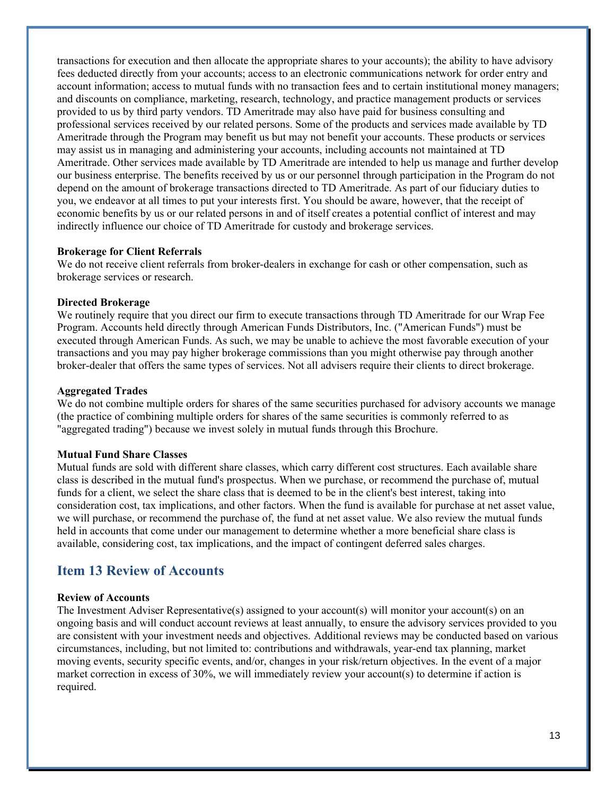transactions for execution and then allocate the appropriate shares to your accounts); the ability to have advisory fees deducted directly from your accounts; access to an electronic communications network for order entry and account information; access to mutual funds with no transaction fees and to certain institutional money managers; and discounts on compliance, marketing, research, technology, and practice management products or services provided to us by third party vendors. TD Ameritrade may also have paid for business consulting and professional services received by our related persons. Some of the products and services made available by TD Ameritrade through the Program may benefit us but may not benefit your accounts. These products or services may assist us in managing and administering your accounts, including accounts not maintained at TD Ameritrade. Other services made available by TD Ameritrade are intended to help us manage and further develop our business enterprise. The benefits received by us or our personnel through participation in the Program do not depend on the amount of brokerage transactions directed to TD Ameritrade. As part of our fiduciary duties to you, we endeavor at all times to put your interests first. You should be aware, however, that the receipt of economic benefits by us or our related persons in and of itself creates a potential conflict of interest and may indirectly influence our choice of TD Ameritrade for custody and brokerage services.

#### **Brokerage for Client Referrals**

We do not receive client referrals from broker-dealers in exchange for cash or other compensation, such as brokerage services or research.

#### **Directed Brokerage**

We routinely require that you direct our firm to execute transactions through TD Ameritrade for our Wrap Fee Program. Accounts held directly through American Funds Distributors, Inc. ("American Funds") must be executed through American Funds. As such, we may be unable to achieve the most favorable execution of your transactions and you may pay higher brokerage commissions than you might otherwise pay through another broker-dealer that offers the same types of services. Not all advisers require their clients to direct brokerage.

#### **Aggregated Trades**

We do not combine multiple orders for shares of the same securities purchased for advisory accounts we manage (the practice of combining multiple orders for shares of the same securities is commonly referred to as "aggregated trading") because we invest solely in mutual funds through this Brochure.

#### **Mutual Fund Share Classes**

Mutual funds are sold with different share classes, which carry different cost structures. Each available share class is described in the mutual fund's prospectus. When we purchase, or recommend the purchase of, mutual funds for a client, we select the share class that is deemed to be in the client's best interest, taking into consideration cost, tax implications, and other factors. When the fund is available for purchase at net asset value, we will purchase, or recommend the purchase of, the fund at net asset value. We also review the mutual funds held in accounts that come under our management to determine whether a more beneficial share class is available, considering cost, tax implications, and the impact of contingent deferred sales charges.

### **Item 13 Review of Accounts**

#### **Review of Accounts**

The Investment Adviser Representative(s) assigned to your account(s) will monitor your account(s) on an ongoing basis and will conduct account reviews at least annually, to ensure the advisory services provided to you are consistent with your investment needs and objectives. Additional reviews may be conducted based on various circumstances, including, but not limited to: contributions and withdrawals, year-end tax planning, market moving events, security specific events, and/or, changes in your risk/return objectives. In the event of a major market correction in excess of 30%, we will immediately review your account(s) to determine if action is required.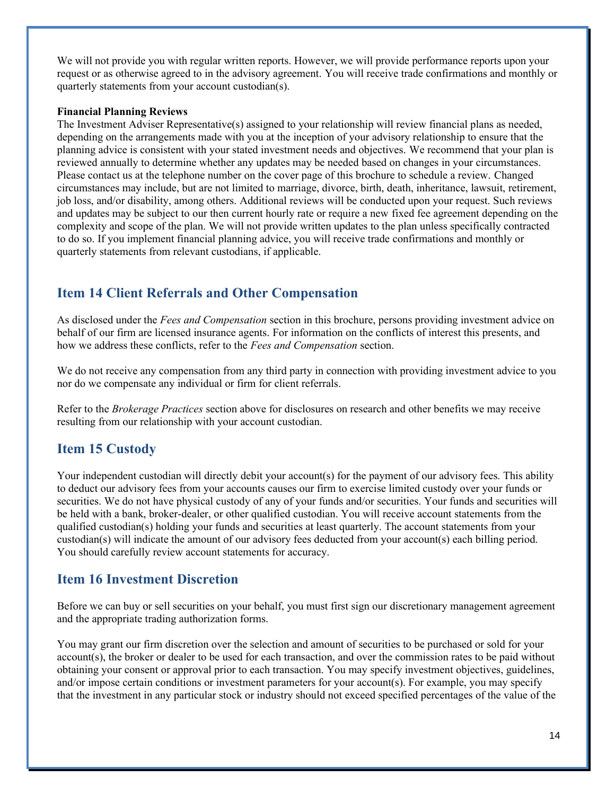We will not provide you with regular written reports. However, we will provide performance reports upon your request or as otherwise agreed to in the advisory agreement. You will receive trade confirmations and monthly or quarterly statements from your account custodian(s).

#### **Financial Planning Reviews**

The Investment Adviser Representative(s) assigned to your relationship will review financial plans as needed, depending on the arrangements made with you at the inception of your advisory relationship to ensure that the planning advice is consistent with your stated investment needs and objectives. We recommend that your plan is reviewed annually to determine whether any updates may be needed based on changes in your circumstances. Please contact us at the telephone number on the cover page of this brochure to schedule a review. Changed circumstances may include, but are not limited to marriage, divorce, birth, death, inheritance, lawsuit, retirement, job loss, and/or disability, among others. Additional reviews will be conducted upon your request. Such reviews and updates may be subject to our then current hourly rate or require a new fixed fee agreement depending on the complexity and scope of the plan. We will not provide written updates to the plan unless specifically contracted to do so. If you implement financial planning advice, you will receive trade confirmations and monthly or quarterly statements from relevant custodians, if applicable.

### **Item 14 Client Referrals and Other Compensation**

As disclosed under the *Fees and Compensation* section in this brochure, persons providing investment advice on behalf of our firm are licensed insurance agents. For information on the conflicts of interest this presents, and how we address these conflicts, refer to the *Fees and Compensation* section.

We do not receive any compensation from any third party in connection with providing investment advice to you nor do we compensate any individual or firm for client referrals.

Refer to the *Brokerage Practices* section above for disclosures on research and other benefits we may receive resulting from our relationship with your account custodian.

### **Item 15 Custody**

Your independent custodian will directly debit your account(s) for the payment of our advisory fees. This ability to deduct our advisory fees from your accounts causes our firm to exercise limited custody over your funds or securities. We do not have physical custody of any of your funds and/or securities. Your funds and securities will be held with a bank, broker-dealer, or other qualified custodian. You will receive account statements from the qualified custodian(s) holding your funds and securities at least quarterly. The account statements from your custodian(s) will indicate the amount of our advisory fees deducted from your account(s) each billing period. You should carefully review account statements for accuracy.

### **Item 16 Investment Discretion**

Before we can buy or sell securities on your behalf, you must first sign our discretionary management agreement and the appropriate trading authorization forms.

You may grant our firm discretion over the selection and amount of securities to be purchased or sold for your account(s), the broker or dealer to be used for each transaction, and over the commission rates to be paid without obtaining your consent or approval prior to each transaction. You may specify investment objectives, guidelines, and/or impose certain conditions or investment parameters for your account(s). For example, you may specify that the investment in any particular stock or industry should not exceed specified percentages of the value of the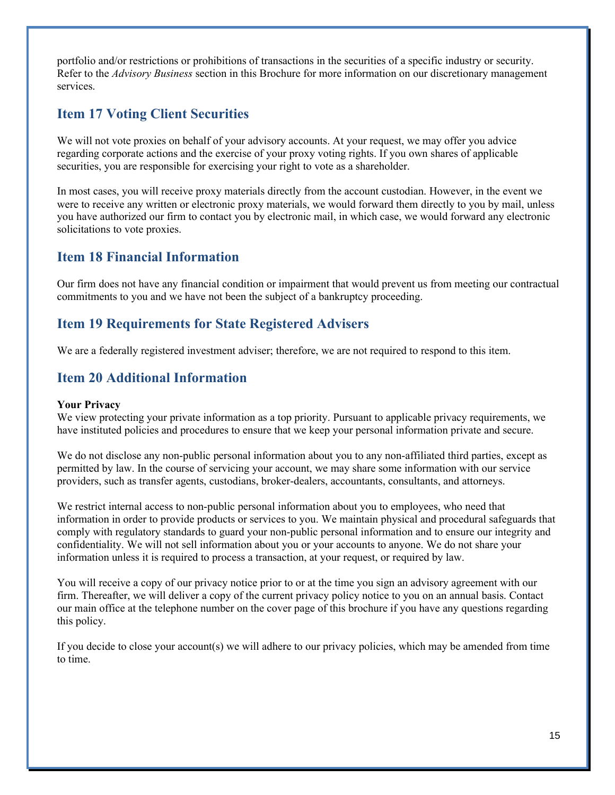portfolio and/or restrictions or prohibitions of transactions in the securities of a specific industry or security. Refer to the *Advisory Business* section in this Brochure for more information on our discretionary management services.

### **Item 17 Voting Client Securities**

We will not vote proxies on behalf of your advisory accounts. At your request, we may offer you advice regarding corporate actions and the exercise of your proxy voting rights. If you own shares of applicable securities, you are responsible for exercising your right to vote as a shareholder.

In most cases, you will receive proxy materials directly from the account custodian. However, in the event we were to receive any written or electronic proxy materials, we would forward them directly to you by mail, unless you have authorized our firm to contact you by electronic mail, in which case, we would forward any electronic solicitations to vote proxies.

### **Item 18 Financial Information**

Our firm does not have any financial condition or impairment that would prevent us from meeting our contractual commitments to you and we have not been the subject of a bankruptcy proceeding.

### **Item 19 Requirements for State Registered Advisers**

We are a federally registered investment adviser; therefore, we are not required to respond to this item.

### **Item 20 Additional Information**

### **Your Privacy**

We view protecting your private information as a top priority. Pursuant to applicable privacy requirements, we have instituted policies and procedures to ensure that we keep your personal information private and secure.

We do not disclose any non-public personal information about you to any non-affiliated third parties, except as permitted by law. In the course of servicing your account, we may share some information with our service providers, such as transfer agents, custodians, broker-dealers, accountants, consultants, and attorneys.

We restrict internal access to non-public personal information about you to employees, who need that information in order to provide products or services to you. We maintain physical and procedural safeguards that comply with regulatory standards to guard your non-public personal information and to ensure our integrity and confidentiality. We will not sell information about you or your accounts to anyone. We do not share your information unless it is required to process a transaction, at your request, or required by law.

You will receive a copy of our privacy notice prior to or at the time you sign an advisory agreement with our firm. Thereafter, we will deliver a copy of the current privacy policy notice to you on an annual basis. Contact our main office at the telephone number on the cover page of this brochure if you have any questions regarding this policy.

If you decide to close your account(s) we will adhere to our privacy policies, which may be amended from time to time.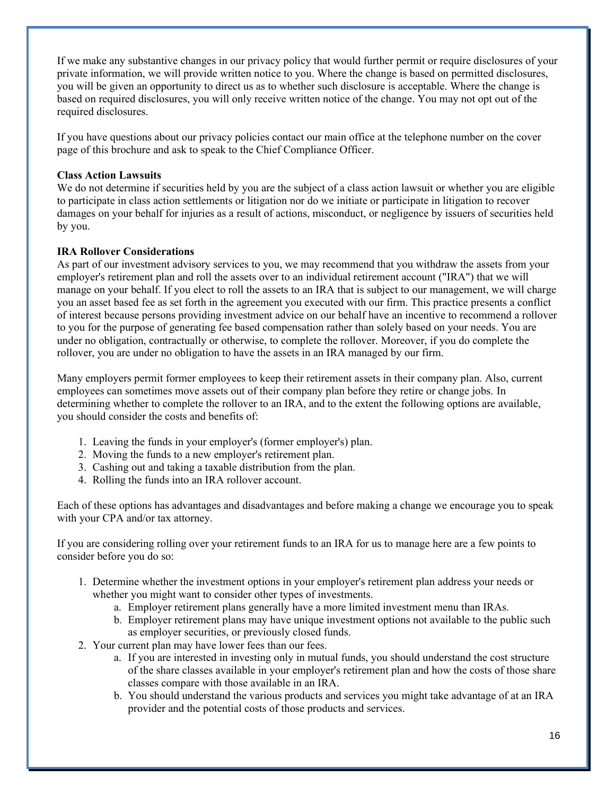If we make any substantive changes in our privacy policy that would further permit or require disclosures of your private information, we will provide written notice to you. Where the change is based on permitted disclosures, you will be given an opportunity to direct us as to whether such disclosure is acceptable. Where the change is based on required disclosures, you will only receive written notice of the change. You may not opt out of the required disclosures.

If you have questions about our privacy policies contact our main office at the telephone number on the cover page of this brochure and ask to speak to the Chief Compliance Officer.

### **Class Action Lawsuits**

We do not determine if securities held by you are the subject of a class action lawsuit or whether you are eligible to participate in class action settlements or litigation nor do we initiate or participate in litigation to recover damages on your behalf for injuries as a result of actions, misconduct, or negligence by issuers of securities held by you.

### **IRA Rollover Considerations**

As part of our investment advisory services to you, we may recommend that you withdraw the assets from your employer's retirement plan and roll the assets over to an individual retirement account ("IRA") that we will manage on your behalf. If you elect to roll the assets to an IRA that is subject to our management, we will charge you an asset based fee as set forth in the agreement you executed with our firm. This practice presents a conflict of interest because persons providing investment advice on our behalf have an incentive to recommend a rollover to you for the purpose of generating fee based compensation rather than solely based on your needs. You are under no obligation, contractually or otherwise, to complete the rollover. Moreover, if you do complete the rollover, you are under no obligation to have the assets in an IRA managed by our firm.

Many employers permit former employees to keep their retirement assets in their company plan. Also, current employees can sometimes move assets out of their company plan before they retire or change jobs. In determining whether to complete the rollover to an IRA, and to the extent the following options are available, you should consider the costs and benefits of:

- 1. Leaving the funds in your employer's (former employer's) plan.
- 2. Moving the funds to a new employer's retirement plan.
- 3. Cashing out and taking a taxable distribution from the plan.
- 4. Rolling the funds into an IRA rollover account.

Each of these options has advantages and disadvantages and before making a change we encourage you to speak with your CPA and/or tax attorney.

If you are considering rolling over your retirement funds to an IRA for us to manage here are a few points to consider before you do so:

- 1. Determine whether the investment options in your employer's retirement plan address your needs or whether you might want to consider other types of investments.
	- a. Employer retirement plans generally have a more limited investment menu than IRAs.
	- b. Employer retirement plans may have unique investment options not available to the public such as employer securities, or previously closed funds.
- 2. Your current plan may have lower fees than our fees.
	- a. If you are interested in investing only in mutual funds, you should understand the cost structure of the share classes available in your employer's retirement plan and how the costs of those share classes compare with those available in an IRA.
	- b. You should understand the various products and services you might take advantage of at an IRA provider and the potential costs of those products and services.